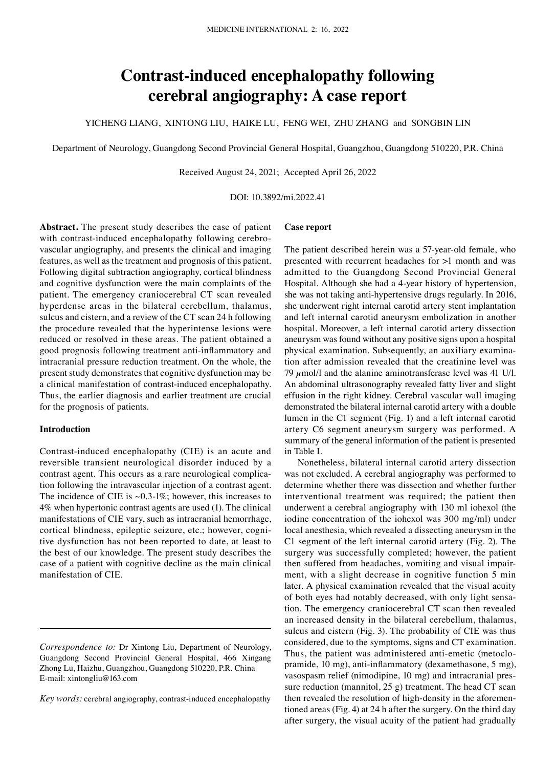# **Contrast‑induced encephalopathy following cerebral angiography: A case report**

YICHENG LIANG, XINTONG LIU, HAIKE LU, FENG WEI, ZHU ZHANG and SONGBIN LIN

Department of Neurology, Guangdong Second Provincial General Hospital, Guangzhou, Guangdong 510220, P.R. China

Received August 24, 2021; Accepted April 26, 2022

DOI: 10.3892/mi.2022.41

**Abstract.** The present study describes the case of patient with contrast-induced encephalopathy following cerebrovascular angiography, and presents the clinical and imaging features, as well as the treatment and prognosis of this patient. Following digital subtraction angiography, cortical blindness and cognitive dysfunction were the main complaints of the patient. The emergency craniocerebral CT scan revealed hyperdense areas in the bilateral cerebellum, thalamus, sulcus and cistern, and a review of the CT scan 24 h following the procedure revealed that the hyperintense lesions were reduced or resolved in these areas. The patient obtained a good prognosis following treatment anti‑inflammatory and intracranial pressure reduction treatment. On the whole, the present study demonstrates that cognitive dysfunction may be a clinical manifestation of contrast-induced encephalopathy. Thus, the earlier diagnosis and earlier treatment are crucial for the prognosis of patients.

#### **Introduction**

Contrast‑induced encephalopathy (CIE) is an acute and reversible transient neurological disorder induced by a contrast agent. This occurs as a rare neurological complication following the intravascular injection of a contrast agent. The incidence of CIE is  $\sim 0.3$ -1%; however, this increases to 4% when hypertonic contrast agents are used (1). The clinical manifestations of CIE vary, such as intracranial hemorrhage, cortical blindness, epileptic seizure, etc.; however, cognitive dysfunction has not been reported to date, at least to the best of our knowledge. The present study describes the case of a patient with cognitive decline as the main clinical manifestation of CIE.

*Key words:* cerebral angiography, contrast-induced encephalopathy

### **Case report**

The patient described herein was a 57-year-old female, who presented with recurrent headaches for >1 month and was admitted to the Guangdong Second Provincial General Hospital. Although she had a 4‑year history of hypertension, she was not taking anti-hypertensive drugs regularly. In 2016, she underwent right internal carotid artery stent implantation and left internal carotid aneurysm embolization in another hospital. Moreover, a left internal carotid artery dissection aneurysm was found without any positive signs upon a hospital physical examination. Subsequently, an auxiliary examination after admission revealed that the creatinine level was 79  $\mu$ mol/l and the alanine aminotransferase level was 41 U/l. An abdominal ultrasonography revealed fatty liver and slight effusion in the right kidney. Cerebral vascular wall imaging demonstrated the bilateral internal carotid artery with a double lumen in the C1 segment (Fig. 1) and a left internal carotid artery C6 segment aneurysm surgery was performed. A summary of the general information of the patient is presented in Table I.

Nonetheless, bilateral internal carotid artery dissection was not excluded. A cerebral angiography was performed to determine whether there was dissection and whether further interventional treatment was required; the patient then underwent a cerebral angiography with 130 ml iohexol (the iodine concentration of the iohexol was 300 mg/ml) under local anesthesia, which revealed a dissecting aneurysm in the C1 segment of the left internal carotid artery (Fig. 2). The surgery was successfully completed; however, the patient then suffered from headaches, vomiting and visual impairment, with a slight decrease in cognitive function 5 min later. A physical examination revealed that the visual acuity of both eyes had notably decreased, with only light sensation. The emergency craniocerebral CT scan then revealed an increased density in the bilateral cerebellum, thalamus, sulcus and cistern (Fig. 3). The probability of CIE was thus considered, due to the symptoms, signs and CT examination. Thus, the patient was administered anti-emetic (metoclopramide, 10 mg), anti‑inflammatory (dexamethasone, 5 mg), vasospasm relief (nimodipine, 10 mg) and intracranial pressure reduction (mannitol, 25 g) treatment. The head CT scan then revealed the resolution of high-density in the aforementioned areas (Fig. 4) at 24 h after the surgery. On the third day after surgery, the visual acuity of the patient had gradually

*Correspondence to:* Dr Xintong Liu, Department of Neurology, Guangdong Second Provincial General Hospital, 466 Xingang Zhong Lu, Haizhu, Guangzhou, Guangdong 510220, P.R. China E‑mail: xintongliu@163.com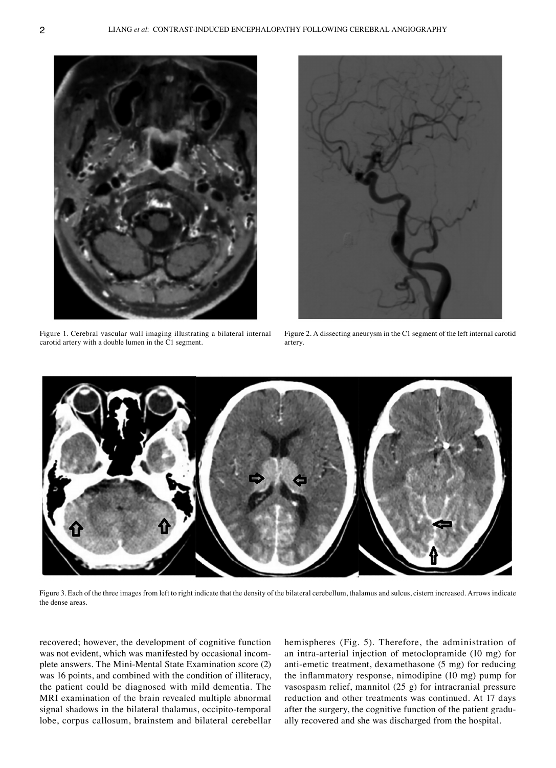

Figure 1. Cerebral vascular wall imaging illustrating a bilateral internal carotid artery with a double lumen in the C1 segment.



Figure 2. A dissecting aneurysm in the C1 segment of the left internal carotid artery.



Figure 3. Each of the three images from left to right indicate that the density of the bilateral cerebellum, thalamus and sulcus, cistern increased. Arrows indicate the dense areas.

recovered; however, the development of cognitive function was not evident, which was manifested by occasional incomplete answers. The Mini‑Mental State Examination score (2) was 16 points, and combined with the condition of illiteracy, the patient could be diagnosed with mild dementia. The MRI examination of the brain revealed multiple abnormal signal shadows in the bilateral thalamus, occipito-temporal lobe, corpus callosum, brainstem and bilateral cerebellar

hemispheres (Fig. 5). Therefore, the administration of an intra‑arterial injection of metoclopramide (10 mg) for anti-emetic treatment, dexamethasone (5 mg) for reducing the inflammatory response, nimodipine (10 mg) pump for vasospasm relief, mannitol (25 g) for intracranial pressure reduction and other treatments was continued. At 17 days after the surgery, the cognitive function of the patient gradually recovered and she was discharged from the hospital.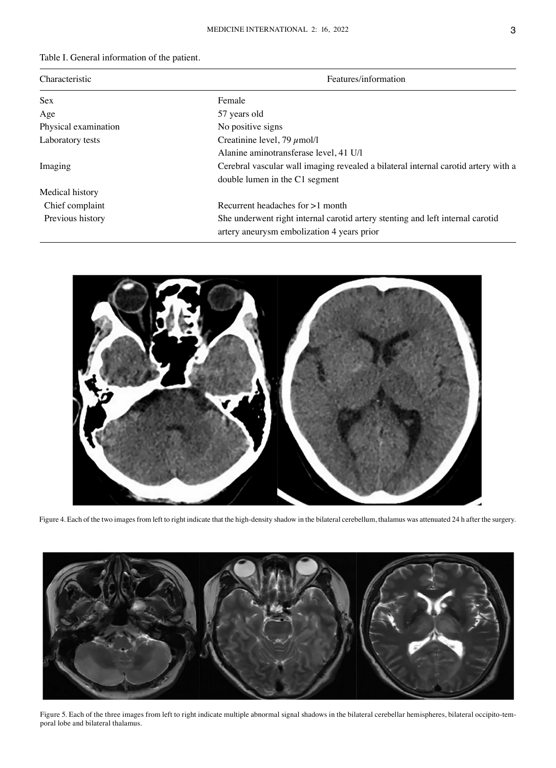## Table I. General information of the patient.

| Characteristic       | Features/information                                                                                                         |
|----------------------|------------------------------------------------------------------------------------------------------------------------------|
| <b>Sex</b>           | Female                                                                                                                       |
| Age                  | 57 years old                                                                                                                 |
| Physical examination | No positive signs                                                                                                            |
| Laboratory tests     | Creatinine level, 79 $\mu$ mol/l                                                                                             |
|                      | Alanine aminotransferase level, 41 U/l                                                                                       |
| Imaging              | Cerebral vascular wall imaging revealed a bilateral internal carotid artery with a                                           |
|                      | double lumen in the C1 segment                                                                                               |
| Medical history      |                                                                                                                              |
| Chief complaint      | Recurrent headaches for $>1$ month                                                                                           |
| Previous history     | She underwent right internal carotid artery stenting and left internal carotid<br>artery aneurysm embolization 4 years prior |



Figure 4. Each of the two images from left to right indicate that the high-density shadow in the bilateral cerebellum, thalamus was attenuated 24 h after the surgery.



Figure 5. Each of the three images from left to right indicate multiple abnormal signal shadows in the bilateral cerebellar hemispheres, bilateral occipito-temporal lobe and bilateral thalamus.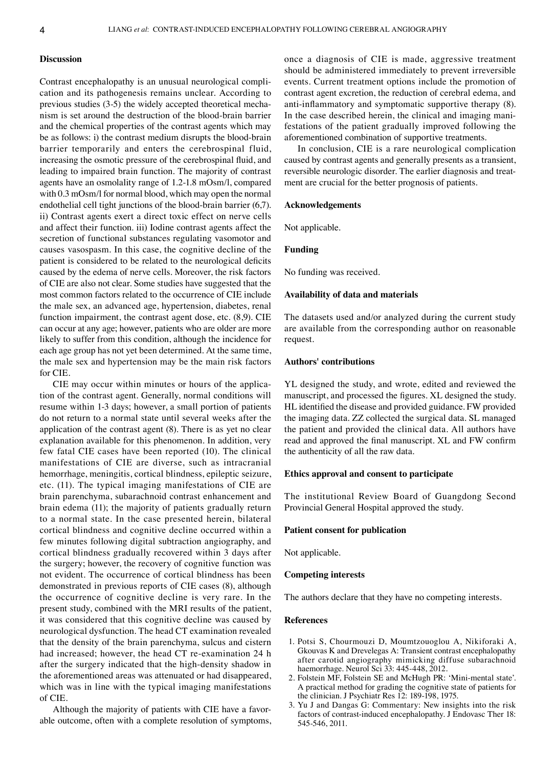#### **Discussion**

Contrast encephalopathy is an unusual neurological complication and its pathogenesis remains unclear. According to previous studies (3-5) the widely accepted theoretical mechanism is set around the destruction of the blood‑brain barrier and the chemical properties of the contrast agents which may be as follows: i) the contrast medium disrupts the blood-brain barrier temporarily and enters the cerebrospinal fluid, increasing the osmotic pressure of the cerebrospinal fluid, and leading to impaired brain function. The majority of contrast agents have an osmolality range of 1.2‑1.8 mOsm/l, compared with 0.3 mOsm/l for normal blood, which may open the normal endothelial cell tight junctions of the blood-brain barrier (6,7). ii) Contrast agents exert a direct toxic effect on nerve cells and affect their function. iii) Iodine contrast agents affect the secretion of functional substances regulating vasomotor and causes vasospasm. In this case, the cognitive decline of the patient is considered to be related to the neurological deficits caused by the edema of nerve cells. Moreover, the risk factors of CIE are also not clear. Some studies have suggested that the most common factors related to the occurrence of CIE include the male sex, an advanced age, hypertension, diabetes, renal function impairment, the contrast agent dose, etc. (8,9). CIE can occur at any age; however, patients who are older are more likely to suffer from this condition, although the incidence for each age group has not yet been determined. At the same time, the male sex and hypertension may be the main risk factors for CIE.

CIE may occur within minutes or hours of the application of the contrast agent. Generally, normal conditions will resume within 1‑3 days; however, a small portion of patients do not return to a normal state until several weeks after the application of the contrast agent (8). There is as yet no clear explanation available for this phenomenon. In addition, very few fatal CIE cases have been reported (10). The clinical manifestations of CIE are diverse, such as intracranial hemorrhage, meningitis, cortical blindness, epileptic seizure, etc. (11). The typical imaging manifestations of CIE are brain parenchyma, subarachnoid contrast enhancement and brain edema (11); the majority of patients gradually return to a normal state. In the case presented herein, bilateral cortical blindness and cognitive decline occurred within a few minutes following digital subtraction angiography, and cortical blindness gradually recovered within 3 days after the surgery; however, the recovery of cognitive function was not evident. The occurrence of cortical blindness has been demonstrated in previous reports of CIE cases (8), although the occurrence of cognitive decline is very rare. In the present study, combined with the MRI results of the patient, it was considered that this cognitive decline was caused by neurological dysfunction. The head CT examination revealed that the density of the brain parenchyma, sulcus and cistern had increased; however, the head CT re‑examination 24 h after the surgery indicated that the high‑density shadow in the aforementioned areas was attenuated or had disappeared, which was in line with the typical imaging manifestations of CIE.

Although the majority of patients with CIE have a favorable outcome, often with a complete resolution of symptoms, once a diagnosis of CIE is made, aggressive treatment should be administered immediately to prevent irreversible events. Current treatment options include the promotion of contrast agent excretion, the reduction of cerebral edema, and anti-inflammatory and symptomatic supportive therapy  $(8)$ . In the case described herein, the clinical and imaging manifestations of the patient gradually improved following the aforementioned combination of supportive treatments.

In conclusion, CIE is a rare neurological complication caused by contrast agents and generally presents as a transient, reversible neurologic disorder. The earlier diagnosis and treatment are crucial for the better prognosis of patients.

#### **Acknowledgements**

Not applicable.

#### **Funding**

No funding was received.

#### **Availability of data and materials**

The datasets used and/or analyzed during the current study are available from the corresponding author on reasonable request.

#### **Authors' contributions**

YL designed the study, and wrote, edited and reviewed the manuscript, and processed the figures. XL designed the study. HL identified the disease and provided guidance. FW provided the imaging data. ZZ collected the surgical data. SL managed the patient and provided the clinical data. All authors have read and approved the final manuscript. XL and FW confirm the authenticity of all the raw data.

### **Ethics approval and consent to participate**

The institutional Review Board of Guangdong Second Provincial General Hospital approved the study.

#### **Patient consent for publication**

Not applicable.

#### **Competing interests**

The authors declare that they have no competing interests.

#### **References**

- 1. Potsi S, Chourmouzi D, Moumtzouoglou A, Nikiforaki A, Gkouvas K and Drevelegas A: Transient contrast encephalopathy after carotid angiography mimicking diffuse subarachnoid haemorrhage. Neurol Sci 33: 445-448, 2012.
- 2. Folstein MF, Folstein SE and McHugh PR: 'Mini‑mental state'. A practical method for grading the cognitive state of patients for the clinician. J Psychiatr Res 12: 189‑198, 1975.
- 3. Yu J and Dangas G: Commentary: New insights into the risk factors of contrast-induced encephalopathy. J Endovasc Ther 18: 545‑546, 2011.